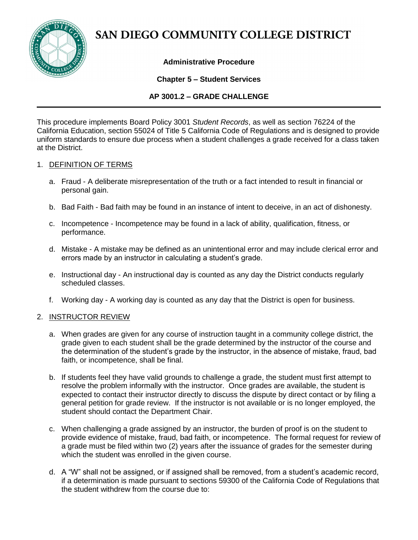

# SAN DIEGO COMMUNITY COLLEGE DISTRICT

## **Administrative Procedure**

## **Chapter 5 – Student Services**

## **AP 3001.2 – GRADE CHALLENGE**

This procedure implements Board Policy 3001 *Student Records*, as well as section 76224 of the California Education, section 55024 of Title 5 California Code of Regulations and is designed to provide uniform standards to ensure due process when a student challenges a grade received for a class taken at the District.

#### 1. DEFINITION OF TERMS

- a. Fraud A deliberate misrepresentation of the truth or a fact intended to result in financial or personal gain.
- b. Bad Faith Bad faith may be found in an instance of intent to deceive, in an act of dishonesty.
- c. Incompetence Incompetence may be found in a lack of ability, qualification, fitness, or performance.
- d. Mistake A mistake may be defined as an unintentional error and may include clerical error and errors made by an instructor in calculating a student's grade.
- e. Instructional day An instructional day is counted as any day the District conducts regularly scheduled classes.
- f. Working day A working day is counted as any day that the District is open for business.

#### 2. INSTRUCTOR REVIEW

- a. When grades are given for any course of instruction taught in a community college district, the grade given to each student shall be the grade determined by the instructor of the course and the determination of the student's grade by the instructor, in the absence of mistake, fraud, bad faith, or incompetence, shall be final.
- b. If students feel they have valid grounds to challenge a grade, the student must first attempt to resolve the problem informally with the instructor. Once grades are available, the student is expected to contact their instructor directly to discuss the dispute by direct contact or by filing a general petition for grade review. If the instructor is not available or is no longer employed, the student should contact the Department Chair.
- c. When challenging a grade assigned by an instructor, the burden of proof is on the student to provide evidence of mistake, fraud, bad faith, or incompetence. The formal request for review of a grade must be filed within two (2) years after the issuance of grades for the semester during which the student was enrolled in the given course.
- d. A "W" shall not be assigned, or if assigned shall be removed, from a student's academic record, if a determination is made pursuant to sections 59300 of the California Code of Regulations that the student withdrew from the course due to: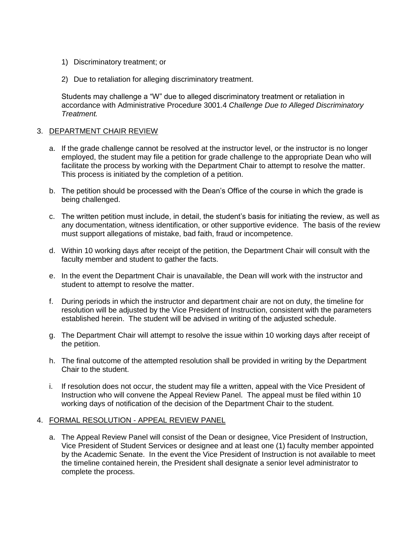- 1) Discriminatory treatment; or
- 2) Due to retaliation for alleging discriminatory treatment.

Students may challenge a "W" due to alleged discriminatory treatment or retaliation in accordance with Administrative Procedure 3001.4 *Challenge Due to Alleged Discriminatory Treatment.*

#### 3. DEPARTMENT CHAIR REVIEW

- a. If the grade challenge cannot be resolved at the instructor level, or the instructor is no longer employed, the student may file a petition for grade challenge to the appropriate Dean who will facilitate the process by working with the Department Chair to attempt to resolve the matter. This process is initiated by the completion of a petition.
- b. The petition should be processed with the Dean's Office of the course in which the grade is being challenged.
- c. The written petition must include, in detail, the student's basis for initiating the review, as well as any documentation, witness identification, or other supportive evidence. The basis of the review must support allegations of mistake, bad faith, fraud or incompetence.
- d. Within 10 working days after receipt of the petition, the Department Chair will consult with the faculty member and student to gather the facts.
- e. In the event the Department Chair is unavailable, the Dean will work with the instructor and student to attempt to resolve the matter.
- f. During periods in which the instructor and department chair are not on duty, the timeline for resolution will be adjusted by the Vice President of Instruction, consistent with the parameters established herein. The student will be advised in writing of the adjusted schedule.
- g. The Department Chair will attempt to resolve the issue within 10 working days after receipt of the petition.
- h. The final outcome of the attempted resolution shall be provided in writing by the Department Chair to the student.
- i. If resolution does not occur, the student may file a written, appeal with the Vice President of Instruction who will convene the Appeal Review Panel. The appeal must be filed within 10 working days of notification of the decision of the Department Chair to the student.

#### 4. FORMAL RESOLUTION - APPEAL REVIEW PANEL

a. The Appeal Review Panel will consist of the Dean or designee, Vice President of Instruction, Vice President of Student Services or designee and at least one (1) faculty member appointed by the Academic Senate. In the event the Vice President of Instruction is not available to meet the timeline contained herein, the President shall designate a senior level administrator to complete the process.